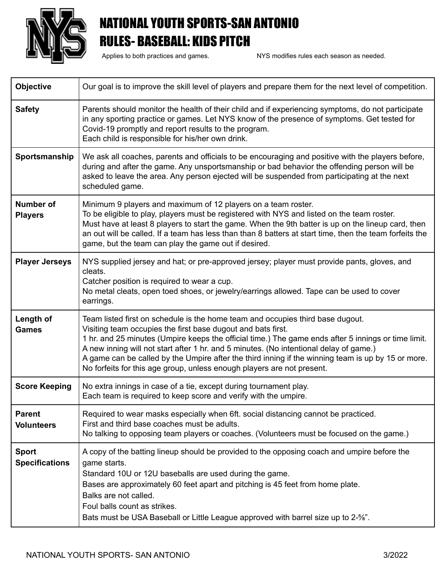

## NATIONAL YOUTH SPORTS-SAN ANTONIO RULES- BASEBALL: KIDS PITCH

Applies to both practices and games. NYS modifies rules each season as needed.

| <b>Objective</b>                      | Our goal is to improve the skill level of players and prepare them for the next level of competition.                                                                                                                                                                                                                                                                                                                                                                                                                           |
|---------------------------------------|---------------------------------------------------------------------------------------------------------------------------------------------------------------------------------------------------------------------------------------------------------------------------------------------------------------------------------------------------------------------------------------------------------------------------------------------------------------------------------------------------------------------------------|
| <b>Safety</b>                         | Parents should monitor the health of their child and if experiencing symptoms, do not participate<br>in any sporting practice or games. Let NYS know of the presence of symptoms. Get tested for<br>Covid-19 promptly and report results to the program.<br>Each child is responsible for his/her own drink.                                                                                                                                                                                                                    |
| Sportsmanship                         | We ask all coaches, parents and officials to be encouraging and positive with the players before,<br>during and after the game. Any unsportsmanship or bad behavior the offending person will be<br>asked to leave the area. Any person ejected will be suspended from participating at the next<br>scheduled game.                                                                                                                                                                                                             |
| <b>Number of</b><br><b>Players</b>    | Minimum 9 players and maximum of 12 players on a team roster.<br>To be eligible to play, players must be registered with NYS and listed on the team roster.<br>Must have at least 8 players to start the game. When the 9th batter is up on the lineup card, then<br>an out will be called. If a team has less than than 8 batters at start time, then the team forfeits the<br>game, but the team can play the game out if desired.                                                                                            |
| <b>Player Jerseys</b>                 | NYS supplied jersey and hat; or pre-approved jersey; player must provide pants, gloves, and<br>cleats.<br>Catcher position is required to wear a cup.<br>No metal cleats, open toed shoes, or jewelry/earrings allowed. Tape can be used to cover<br>earrings.                                                                                                                                                                                                                                                                  |
| Length of<br><b>Games</b>             | Team listed first on schedule is the home team and occupies third base dugout.<br>Visiting team occupies the first base dugout and bats first.<br>1 hr. and 25 minutes (Umpire keeps the official time.) The game ends after 5 innings or time limit.<br>A new inning will not start after 1 hr. and 5 minutes. (No intentional delay of game.)<br>A game can be called by the Umpire after the third inning if the winning team is up by 15 or more.<br>No forfeits for this age group, unless enough players are not present. |
| <b>Score Keeping</b>                  | No extra innings in case of a tie, except during tournament play.<br>Each team is required to keep score and verify with the umpire.                                                                                                                                                                                                                                                                                                                                                                                            |
| <b>Parent</b><br><b>Volunteers</b>    | Required to wear masks especially when 6ft. social distancing cannot be practiced.<br>First and third base coaches must be adults.<br>No talking to opposing team players or coaches. (Volunteers must be focused on the game.)                                                                                                                                                                                                                                                                                                 |
| <b>Sport</b><br><b>Specifications</b> | A copy of the batting lineup should be provided to the opposing coach and umpire before the<br>game starts.<br>Standard 10U or 12U baseballs are used during the game.<br>Bases are approximately 60 feet apart and pitching is 45 feet from home plate.<br>Balks are not called.<br>Foul balls count as strikes.<br>Bats must be USA Baseball or Little League approved with barrel size up to 2-%".                                                                                                                           |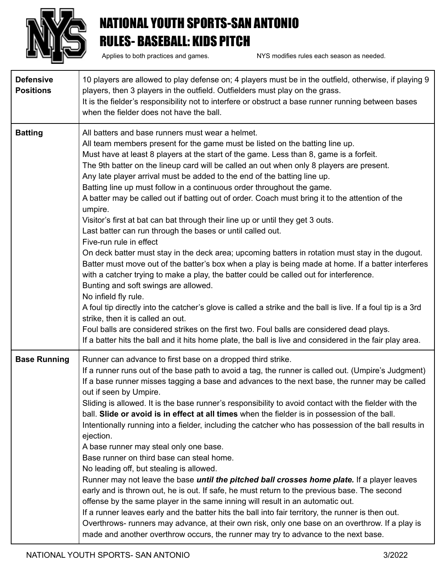

## NATIONAL YOUTH SPORTS-SAN ANTONIO RULES- BASEBALL: KIDS PITCH

Applies to both practices and games. NYS modifies rules each season as needed.

| <b>Defensive</b><br><b>Positions</b> | 10 players are allowed to play defense on; 4 players must be in the outfield, otherwise, if playing 9<br>players, then 3 players in the outfield. Outfielders must play on the grass.<br>It is the fielder's responsibility not to interfere or obstruct a base runner running between bases<br>when the fielder does not have the ball.                                                                                                                                                                                                                                                                                                                                                                                                                                                                                                                                                                                                                                                                                                                                                                                                                                                                                                                                                                                                                                                                                                                                                                |
|--------------------------------------|---------------------------------------------------------------------------------------------------------------------------------------------------------------------------------------------------------------------------------------------------------------------------------------------------------------------------------------------------------------------------------------------------------------------------------------------------------------------------------------------------------------------------------------------------------------------------------------------------------------------------------------------------------------------------------------------------------------------------------------------------------------------------------------------------------------------------------------------------------------------------------------------------------------------------------------------------------------------------------------------------------------------------------------------------------------------------------------------------------------------------------------------------------------------------------------------------------------------------------------------------------------------------------------------------------------------------------------------------------------------------------------------------------------------------------------------------------------------------------------------------------|
| <b>Batting</b>                       | All batters and base runners must wear a helmet.<br>All team members present for the game must be listed on the batting line up.<br>Must have at least 8 players at the start of the game. Less than 8, game is a forfeit.<br>The 9th batter on the lineup card will be called an out when only 8 players are present.<br>Any late player arrival must be added to the end of the batting line up.<br>Batting line up must follow in a continuous order throughout the game.<br>A batter may be called out if batting out of order. Coach must bring it to the attention of the<br>umpire.<br>Visitor's first at bat can bat through their line up or until they get 3 outs.<br>Last batter can run through the bases or until called out.<br>Five-run rule in effect<br>On deck batter must stay in the deck area; upcoming batters in rotation must stay in the dugout.<br>Batter must move out of the batter's box when a play is being made at home. If a batter interferes<br>with a catcher trying to make a play, the batter could be called out for interference.<br>Bunting and soft swings are allowed.<br>No infield fly rule.<br>A foul tip directly into the catcher's glove is called a strike and the ball is live. If a foul tip is a 3rd<br>strike, then it is called an out.<br>Foul balls are considered strikes on the first two. Foul balls are considered dead plays.<br>If a batter hits the ball and it hits home plate, the ball is live and considered in the fair play area. |
| <b>Base Running</b>                  | Runner can advance to first base on a dropped third strike.<br>If a runner runs out of the base path to avoid a tag, the runner is called out. (Umpire's Judgment)<br>If a base runner misses tagging a base and advances to the next base, the runner may be called<br>out if seen by Umpire.<br>Sliding is allowed. It is the base runner's responsibility to avoid contact with the fielder with the<br>ball. Slide or avoid is in effect at all times when the fielder is in possession of the ball.<br>Intentionally running into a fielder, including the catcher who has possession of the ball results in<br>ejection.<br>A base runner may steal only one base.<br>Base runner on third base can steal home.<br>No leading off, but stealing is allowed.<br>Runner may not leave the base <i>until the pitched ball crosses home plate</i> . If a player leaves<br>early and is thrown out, he is out. If safe, he must return to the previous base. The second<br>offense by the same player in the same inning will result in an automatic out.<br>If a runner leaves early and the batter hits the ball into fair territory, the runner is then out.<br>Overthrows- runners may advance, at their own risk, only one base on an overthrow. If a play is<br>made and another overthrow occurs, the runner may try to advance to the next base.                                                                                                                                               |